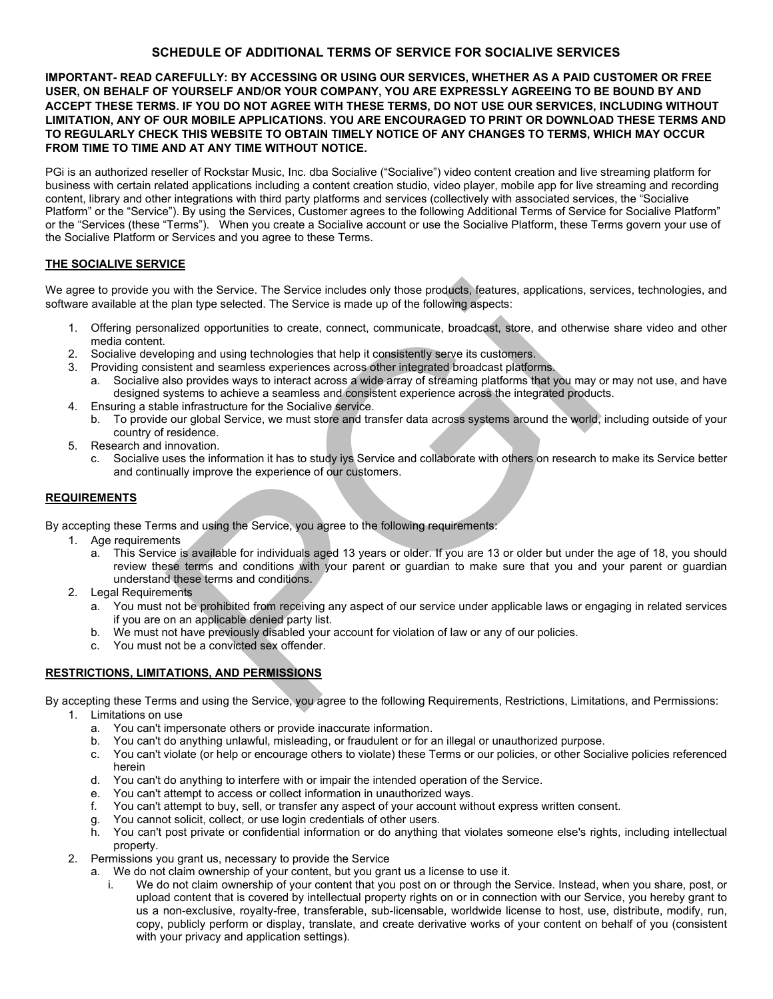# **SCHEDULE OF ADDITIONAL TERMS OF SERVICE FOR SOCIALIVE SERVICES**

### **IMPORTANT- READ CAREFULLY: BY ACCESSING OR USING OUR SERVICES, WHETHER AS A PAID CUSTOMER OR FREE USER, ON BEHALF OF YOURSELF AND/OR YOUR COMPANY, YOU ARE EXPRESSLY AGREEING TO BE BOUND BY AND ACCEPT THESE TERMS. IF YOU DO NOT AGREE WITH THESE TERMS, DO NOT USE OUR SERVICES, INCLUDING WITHOUT LIMITATION, ANY OF OUR MOBILE APPLICATIONS. YOU ARE ENCOURAGED TO PRINT OR DOWNLOAD THESE TERMS AND TO REGULARLY CHECK THIS WEBSITE TO OBTAIN TIMELY NOTICE OF ANY CHANGES TO TERMS, WHICH MAY OCCUR FROM TIME TO TIME AND AT ANY TIME WITHOUT NOTICE.**

PGi is an authorized reseller of Rockstar Music, Inc. dba Socialive ("Socialive") video content creation and live streaming platform for business with certain related applications including a content creation studio, video player, mobile app for live streaming and recording content, library and other integrations with third party platforms and services (collectively with associated services, the "Socialive Platform" or the "Service"). By using the Services, Customer agrees to the following Additional Terms of Service for Socialive Platform" or the "Services (these "Terms"). When you create a Socialive account or use the Socialive Platform, these Terms govern your use of the Socialive Platform or Services and you agree to these Terms.

## **THE SOCIALIVE SERVICE**

We agree to provide you with the Service. The Service includes only those products, features, applications, services, technologies, and software available at the plan type selected. The Service is made up of the following aspects:

- 1. Offering personalized opportunities to create, connect, communicate, broadcast, store, and otherwise share video and other media content.
- 2. Socialive developing and using technologies that help it consistently serve its customers.<br>2. Providing consistent and seamless experiences across other integrated broadcast platfor
- Providing consistent and seamless experiences across other integrated broadcast platforms.
	- a. Socialive also provides ways to interact across a wide array of streaming platforms that you may or may not use, and have designed systems to achieve a seamless and consistent experience across the integrated products.
- 4. Ensuring a stable infrastructure for the Socialive service.
	- b. To provide our global Service, we must store and transfer data across systems around the world, including outside of your country of residence.
- 5. Research and innovation.
	- c. Socialive uses the information it has to study iys Service and collaborate with others on research to make its Service better and continually improve the experience of our customers.

### **REQUIREMENTS**

By accepting these Terms and using the Service, you agree to the following requirements:

- 1. Age requirements
- a. This Service is available for individuals aged 13 years or older. If you are 13 or older but under the age of 18, you should review these terms and conditions with your parent or guardian to make sure that you and your parent or guardian understand these terms and conditions. u with the Service. The Service includes only those products, features, applications, se<br>plan type selected. The Service is made up of the following aspects:<br>mailzed opportunities to create, connect, communicate, broadcast
- 2. Legal Requirements
	- a. You must not be prohibited from receiving any aspect of our service under applicable laws or engaging in related services if you are on an applicable denied party list.
	- b. We must not have previously disabled your account for violation of law or any of our policies.
	- c. You must not be a convicted sex offender.

## **RESTRICTIONS, LIMITATIONS, AND PERMISSIONS**

By accepting these Terms and using the Service, you agree to the following Requirements, Restrictions, Limitations, and Permissions:

- 1. Limitations on use
	- a. You can't impersonate others or provide inaccurate information.
	- b. You can't do anything unlawful, misleading, or fraudulent or for an illegal or unauthorized purpose.
	- c. You can't violate (or help or encourage others to violate) these Terms or our policies, or other Socialive policies referenced herein
	- d. You can't do anything to interfere with or impair the intended operation of the Service.
	- e. You can't attempt to access or collect information in unauthorized ways.
	- f. You can't attempt to buy, sell, or transfer any aspect of your account without express written consent.
	- g. You cannot solicit, collect, or use login credentials of other users.
	- h. You can't post private or confidential information or do anything that violates someone else's rights, including intellectual property.
- 2. Permissions you grant us, necessary to provide the Service
	- a. We do not claim ownership of your content, but you grant us a license to use it.
		- We do not claim ownership of your content that you post on or through the Service. Instead, when you share, post, or upload content that is covered by intellectual property rights on or in connection with our Service, you hereby grant to us a non-exclusive, royalty-free, transferable, sub-licensable, worldwide license to host, use, distribute, modify, run, copy, publicly perform or display, translate, and create derivative works of your content on behalf of you (consistent with your privacy and application settings).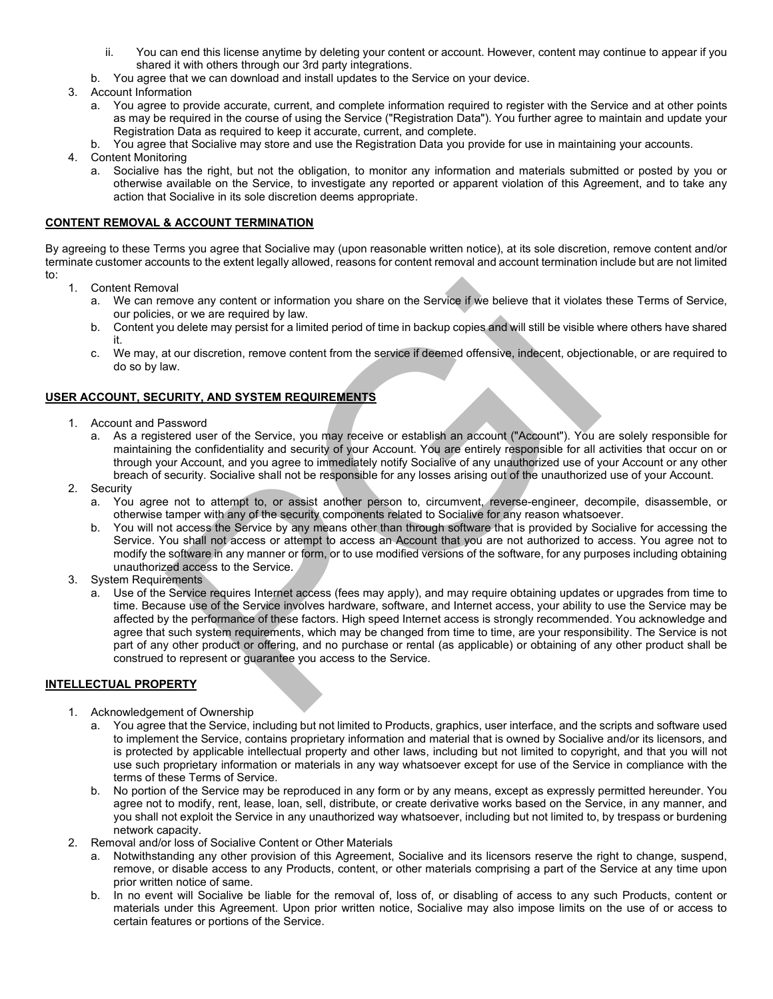- ii. You can end this license anytime by deleting your content or account. However, content may continue to appear if you shared it with others through our 3rd party integrations.
- b. You agree that we can download and install updates to the Service on your device.
- 3. Account Information
	- a. You agree to provide accurate, current, and complete information required to register with the Service and at other points as may be required in the course of using the Service ("Registration Data"). You further agree to maintain and update your Registration Data as required to keep it accurate, current, and complete.
	- b. You agree that Socialive may store and use the Registration Data you provide for use in maintaining your accounts.
- 4. Content Monitoring
	- a. Socialive has the right, but not the obligation, to monitor any information and materials submitted or posted by you or otherwise available on the Service, to investigate any reported or apparent violation of this Agreement, and to take any action that Socialive in its sole discretion deems appropriate.

### **CONTENT REMOVAL & ACCOUNT TERMINATION**

By agreeing to these Terms you agree that Socialive may (upon reasonable written notice), at its sole discretion, remove content and/or terminate customer accounts to the extent legally allowed, reasons for content removal and account termination include but are not limited to:

- 1. Content Removal
	- a. We can remove any content or information you share on the Service if we believe that it violates these Terms of Service, our policies, or we are required by law.
	- b. Content you delete may persist for a limited period of time in backup copies and will still be visible where others have shared it.
	- c. We may, at our discretion, remove content from the service if deemed offensive, indecent, objectionable, or are required to do so by law.

#### **USER ACCOUNT, SECURITY, AND SYSTEM REQUIREMENTS**

- 1. Account and Password
	- a. As a registered user of the Service, you may receive or establish an account ("Account"). You are solely responsible for maintaining the confidentiality and security of your Account. You are entirely responsible for all activities that occur on or through your Account, and you agree to immediately notify Socialive of any unauthorized use of your Account or any other breach of security. Socialive shall not be responsible for any losses arising out of the unauthorized use of your Account.
- 2. Security
	- a. You agree not to attempt to, or assist another person to, circumvent, reverse-engineer, decompile, disassemble, or otherwise tamper with any of the security components related to Socialive for any reason whatsoever.
	- b. You will not access the Service by any means other than through software that is provided by Socialive for accessing the Service. You shall not access or attempt to access an Account that you are not authorized to access. You agree not to modify the software in any manner or form, or to use modified versions of the software, for any purposes including obtaining unauthorized access to the Service.
- 3. System Requirements
- a. Use of the Service requires Internet access (fees may apply), and may require obtaining updates or upgrades from time to time. Because use of the Service involves hardware, software, and Internet access, your ability to use the Service may be affected by the performance of these factors. High speed Internet access is strongly recommended. You acknowledge and agree that such system requirements, which may be changed from time to time, are your responsibility. The Service is not part of any other product or offering, and no purchase or rental (as applicable) or obtaining of any other product shall be construed to represent or guarantee you access to the Service. val<br>
move any content or information you share on the Service if we believe that it violates<br>
s, or we are required by law.<br>
su delete may persist for a limited period of time in backup copies and will still be visible w<br>

## **INTELLECTUAL PROPERTY**

- 1. Acknowledgement of Ownership
	- a. You agree that the Service, including but not limited to Products, graphics, user interface, and the scripts and software used to implement the Service, contains proprietary information and material that is owned by Socialive and/or its licensors, and is protected by applicable intellectual property and other laws, including but not limited to copyright, and that you will not use such proprietary information or materials in any way whatsoever except for use of the Service in compliance with the terms of these Terms of Service.
	- b. No portion of the Service may be reproduced in any form or by any means, except as expressly permitted hereunder. You agree not to modify, rent, lease, loan, sell, distribute, or create derivative works based on the Service, in any manner, and you shall not exploit the Service in any unauthorized way whatsoever, including but not limited to, by trespass or burdening network capacity.
- 2. Removal and/or loss of Socialive Content or Other Materials
	- a. Notwithstanding any other provision of this Agreement, Socialive and its licensors reserve the right to change, suspend, remove, or disable access to any Products, content, or other materials comprising a part of the Service at any time upon prior written notice of same.
	- b. In no event will Socialive be liable for the removal of, loss of, or disabling of access to any such Products, content or materials under this Agreement. Upon prior written notice, Socialive may also impose limits on the use of or access to certain features or portions of the Service.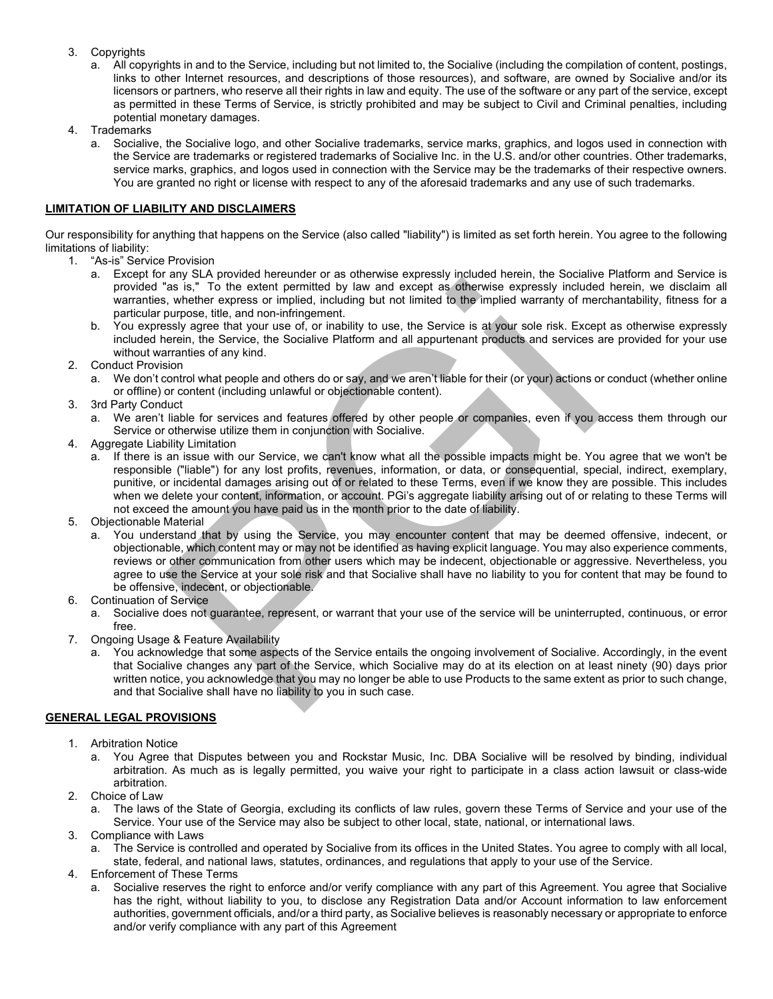- 3. Copyrights
	- a. All copyrights in and to the Service, including but not limited to, the Socialive (including the compilation of content, postings, links to other Internet resources, and descriptions of those resources), and software, are owned by Socialive and/or its licensors or partners, who reserve all their rights in law and equity. The use of the software or any part of the service, except as permitted in these Terms of Service, is strictly prohibited and may be subject to Civil and Criminal penalties, including potential monetary damages.
- 4. Trademarks
	- a. Socialive, the Socialive logo, and other Socialive trademarks, service marks, graphics, and logos used in connection with the Service are trademarks or registered trademarks of Socialive Inc. in the U.S. and/or other countries. Other trademarks, service marks, graphics, and logos used in connection with the Service may be the trademarks of their respective owners. You are granted no right or license with respect to any of the aforesaid trademarks and any use of such trademarks.

## **LIMITATION OF LIABILITY AND DISCLAIMERS**

Our responsibility for anything that happens on the Service (also called "liability") is limited as set forth herein. You agree to the following limitations of liability:

- 1. "As-is" Service Provision
	- a. Except for any SLA provided hereunder or as otherwise expressly included herein, the Socialive Platform and Service is provided "as is," To the extent permitted by law and except as otherwise expressly included herein, we disclaim all warranties, whether express or implied, including but not limited to the implied warranty of merchantability, fitness for a particular purpose, title, and non-infringement.
	- b. You expressly agree that your use of, or inability to use, the Service is at your sole risk. Except as otherwise expressly included herein, the Service, the Socialive Platform and all appurtenant products and services are provided for your use without warranties of any kind.
- 2. Conduct Provision
	- a. We don't control what people and others do or say, and we aren't liable for their (or your) actions or conduct (whether online or offline) or content (including unlawful or objectionable content).
- 3. 3rd Party Conduct
	- a. We aren't liable for services and features offered by other people or companies, even if you access them through our Service or otherwise utilize them in conjunction with Socialive.
- 4. Aggregate Liability Limitation
	- a. If there is an issue with our Service, we can't know what all the possible impacts might be. You agree that we won't be responsible ("liable") for any lost profits, revenues, information, or data, or consequential, special, indirect, exemplary, punitive, or incidental damages arising out of or related to these Terms, even if we know they are possible. This includes when we delete your content, information, or account. PGi's aggregate liability arising out of or relating to these Terms will not exceed the amount you have paid us in the month prior to the date of liability.
- 5. Objectionable Material
- a. You understand that by using the Service, you may encounter content that may be deemed offensive, indecent, or objectionable, which content may or may not be identified as having explicit language. You may also experience comments, reviews or other communication from other users which may be indecent, objectionable or aggressive. Nevertheless, you agree to use the Service at your sole risk and that Socialive shall have no liability to you for content that may be found to be offensive, indecent, or objectionable. The three presens or implied, including but not explored to the service of the service with service is at the service service is at your sole risk. Exceptions or the service is at your sole risk. Exceptions or the service
- 6. Continuation of Service
	- a. Socialive does not guarantee, represent, or warrant that your use of the service will be uninterrupted, continuous, or error free.
- 7. Ongoing Usage & Feature Availability
	- a. You acknowledge that some aspects of the Service entails the ongoing involvement of Socialive. Accordingly, in the event that Socialive changes any part of the Service, which Socialive may do at its election on at least ninety (90) days prior written notice, you acknowledge that you may no longer be able to use Products to the same extent as prior to such change, and that Socialive shall have no liability to you in such case.

## **GENERAL LEGAL PROVISIONS**

- 1. Arbitration Notice
	- a. You Agree that Disputes between you and Rockstar Music, Inc. DBA Socialive will be resolved by binding, individual arbitration. As much as is legally permitted, you waive your right to participate in a class action lawsuit or class-wide arbitration.
- 2. Choice of Law
	- a. The laws of the State of Georgia, excluding its conflicts of law rules, govern these Terms of Service and your use of the Service. Your use of the Service may also be subject to other local, state, national, or international laws.
- 3. Compliance with Laws
	- a. The Service is controlled and operated by Socialive from its offices in the United States. You agree to comply with all local, state, federal, and national laws, statutes, ordinances, and regulations that apply to your use of the Service.
- 4. Enforcement of These Terms
	- a. Socialive reserves the right to enforce and/or verify compliance with any part of this Agreement. You agree that Socialive has the right, without liability to you, to disclose any Registration Data and/or Account information to law enforcement authorities, government officials, and/or a third party, as Socialive believes is reasonably necessary or appropriate to enforce and/or verify compliance with any part of this Agreement